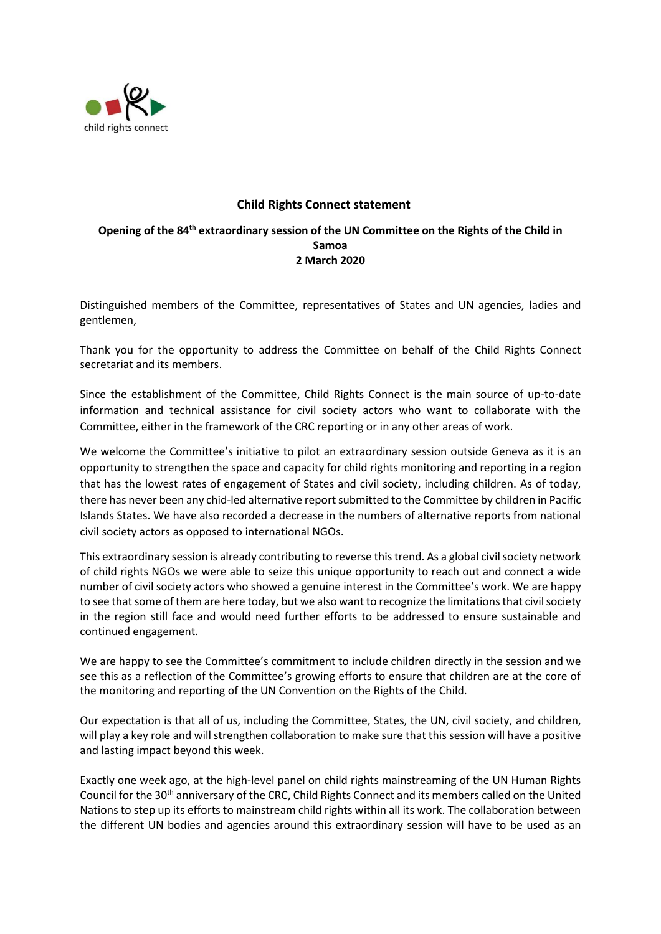

## **Child Rights Connect statement**

## **Opening of the 84th extraordinary session of the UN Committee on the Rights of the Child in Samoa 2 March 2020**

Distinguished members of the Committee, representatives of States and UN agencies, ladies and gentlemen,

Thank you for the opportunity to address the Committee on behalf of the Child Rights Connect secretariat and its members.

Since the establishment of the Committee, Child Rights Connect is the main source of up-to-date information and technical assistance for civil society actors who want to collaborate with the Committee, either in the framework of the CRC reporting or in any other areas of work.

We welcome the Committee's initiative to pilot an extraordinary session outside Geneva as it is an opportunity to strengthen the space and capacity for child rights monitoring and reporting in a region that has the lowest rates of engagement of States and civil society, including children. As of today, there has never been any chid-led alternative report submitted to the Committee by children in Pacific Islands States. We have also recorded a decrease in the numbers of alternative reports from national civil society actors as opposed to international NGOs.

This extraordinary session is already contributing to reverse this trend. As a global civil society network of child rights NGOs we were able to seize this unique opportunity to reach out and connect a wide number of civil society actors who showed a genuine interest in the Committee's work. We are happy to see that some of them are here today, but we also want to recognize the limitations that civil society in the region still face and would need further efforts to be addressed to ensure sustainable and continued engagement.

We are happy to see the Committee's commitment to include children directly in the session and we see this as a reflection of the Committee's growing efforts to ensure that children are at the core of the monitoring and reporting of the UN Convention on the Rights of the Child.

Our expectation is that all of us, including the Committee, States, the UN, civil society, and children, will play a key role and will strengthen collaboration to make sure that this session will have a positive and lasting impact beyond this week.

Exactly one week ago, at the high-level panel on child rights mainstreaming of the UN Human Rights Council for the 30<sup>th</sup> anniversary of the CRC, Child Rights Connect and its members called on the United Nations to step up its efforts to mainstream child rights within all its work. The collaboration between the different UN bodies and agencies around this extraordinary session will have to be used as an